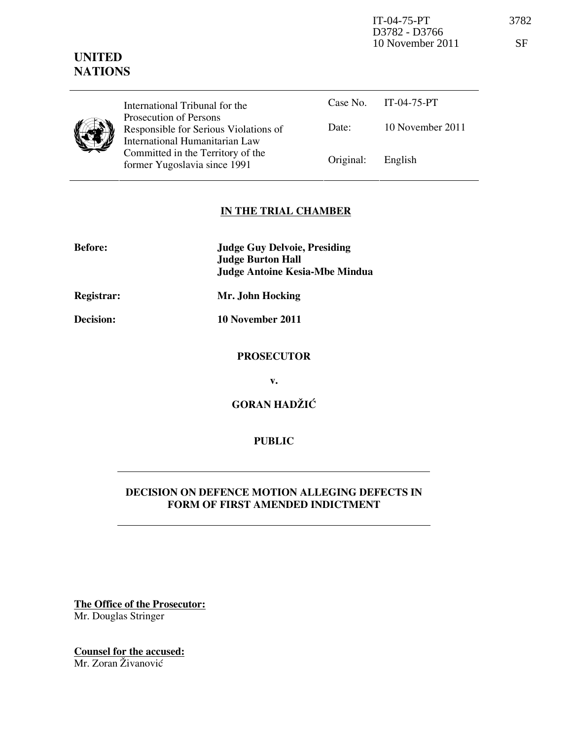IT-04-75-PT 3782 D3782 - D3766 10 November 2011 SF

# UNITED **NATIONS**

|  | ш  |
|--|----|
|  | Рr |
|  | Rσ |
|  | In |
|  |    |

International Tribunal for the rosecution of Persons esponsible for Serious Violations of International Humanitarian Law ommitted in the Territory of the former Yugoslavia since 1991

|                   | Case No. $IT-04-75-PT$ |
|-------------------|------------------------|
| Date:             | 10 November 2011       |
| Original: English |                        |

# IN THE TRIAL CHAMBER

| <b>Before:</b> | <b>Judge Guy Delvoie, Presiding</b><br><b>Judge Burton Hall</b><br><b>Judge Antoine Kesia-Mbe Mindua</b> |
|----------------|----------------------------------------------------------------------------------------------------------|
| Registrar:     | Mr. John Hocking                                                                                         |
| Decision:      | 10 November 2011                                                                                         |
|                | <b>PROSECUTOR</b>                                                                                        |

v.

GORAN HADŽIĆ

PUBLIC

# DECISION ON DEFENCE MOTION ALLEGING DEFECTS IN FORM OF FIRST AMENDED INDICTMENT

The Office of the Prosecutor: Mr. Douglas Stringer

Counsel for the accused:

Mr. Zoran Živanović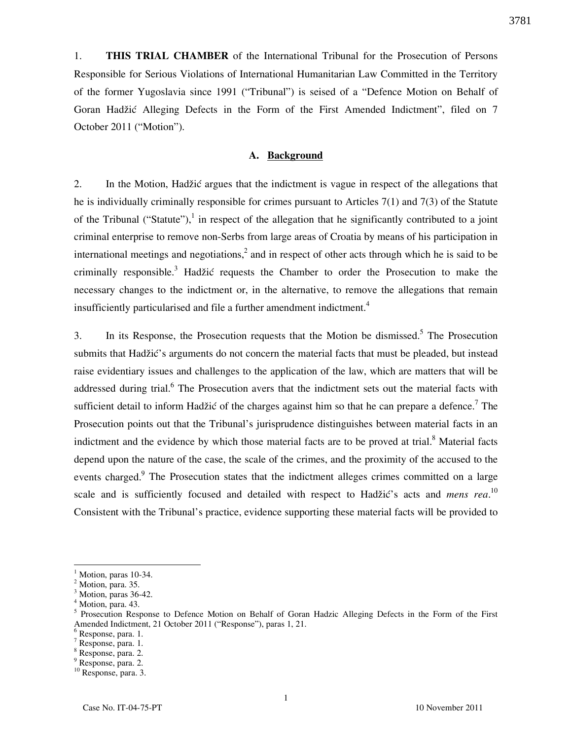1. THIS TRIAL CHAMBER of the International Tribunal for the Prosecution of Persons Responsible for Serious Violations of International Humanitarian Law Committed in the Territory of the former Yugoslavia since 1991 ("Tribunal") is seised of a "Defence Motion on Behalf of Goran Hadžić Alleging Defects in the Form of the First Amended Indictment", filed on 7 October 2011 ("Motion").

## A. Background

2. In the Motion, Hadžić argues that the indictment is vague in respect of the allegations that he is individually criminally responsible for crimes pursuant to Articles 7(1) and 7(3) of the Statute of the Tribunal ("Statute"),<sup>1</sup> in respect of the allegation that he significantly contributed to a joint criminal enterprise to remove non-Serbs from large areas of Croatia by means of his participation in international meetings and negotiations,<sup>2</sup> and in respect of other acts through which he is said to be criminally responsible.<sup>3</sup> Hadžić requests the Chamber to order the Prosecution to make the necessary changes to the indictment or, in the alternative, to remove the allegations that remain insufficiently particularised and file a further amendment indictment.<sup>4</sup>

3. In its Response, the Prosecution requests that the Motion be dismissed.<sup>5</sup> The Prosecution submits that Hadžić's arguments do not concern the material facts that must be pleaded, but instead raise evidentiary issues and challenges to the application of the law, which are matters that will be addressed during trial.<sup>6</sup> The Prosecution avers that the indictment sets out the material facts with sufficient detail to inform Hadžić of the charges against him so that he can prepare a defence.<sup>7</sup> The Prosecution points out that the Tribunal's jurisprudence distinguishes between material facts in an indictment and the evidence by which those material facts are to be proved at trial.<sup>8</sup> Material facts depend upon the nature of the case, the scale of the crimes, and the proximity of the accused to the events charged.<sup>9</sup> The Prosecution states that the indictment alleges crimes committed on a large scale and is sufficiently focused and detailed with respect to Hadžić's acts and *mens rea*.<sup>10</sup> Consistent with the Tribunal's practice, evidence supporting these material facts will be provided to

<sup>1</sup> Motion, paras 10-34.

 $<sup>2</sup>$  Motion, para. 35.</sup>

<sup>&</sup>lt;sup>3</sup> Motion, paras 36-42.

<sup>4</sup> Motion, para. 43.

<sup>&</sup>lt;sup>5</sup> Prosecution Response to Defence Motion on Behalf of Goran Hadzic Alleging Defects in the Form of the First Amended Indictment, 21 October 2011 ("Response"), paras 1, 21.

<sup>6</sup> Response, para. 1.

<sup>7</sup> Response, para. 1.

<sup>8</sup> Response, para. 2.

<sup>9</sup> Response, para. 2. <sup>10</sup> Response, para. 3.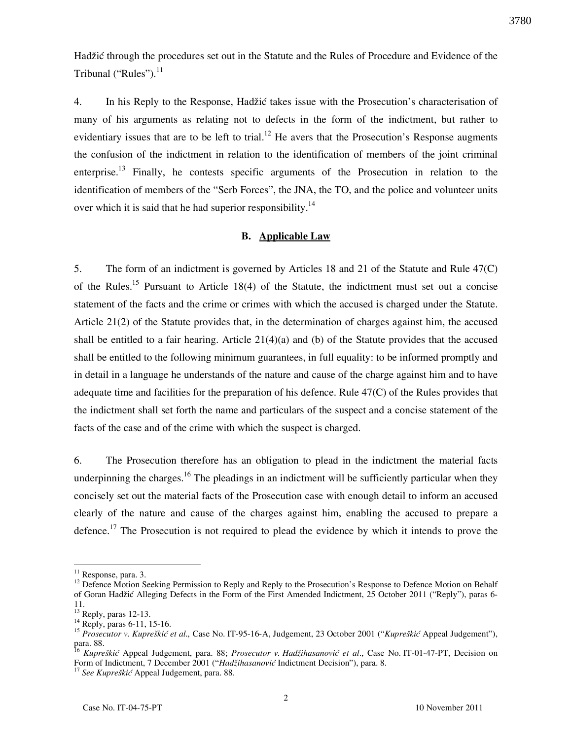Hadžić through the procedures set out in the Statute and the Rules of Procedure and Evidence of the Tribunal ("Rules"). $^{11}$ 

4. In his Reply to the Response, Hadžić takes issue with the Prosecution's characterisation of many of his arguments as relating not to defects in the form of the indictment, but rather to evidentiary issues that are to be left to trial.<sup>12</sup> He avers that the Prosecution's Response augments the confusion of the indictment in relation to the identification of members of the joint criminal enterprise.<sup>13</sup> Finally, he contests specific arguments of the Prosecution in relation to the identification of members of the "Serb Forces", the JNA, the TO, and the police and volunteer units over which it is said that he had superior responsibility.<sup>14</sup>

#### B. Applicable Law

5. The form of an indictment is governed by Articles 18 and 21 of the Statute and Rule 47(C) of the Rules.<sup>15</sup> Pursuant to Article 18(4) of the Statute, the indictment must set out a concise statement of the facts and the crime or crimes with which the accused is charged under the Statute. Article 21(2) of the Statute provides that, in the determination of charges against him, the accused shall be entitled to a fair hearing. Article  $21(4)(a)$  and (b) of the Statute provides that the accused shall be entitled to the following minimum guarantees, in full equality: to be informed promptly and in detail in a language he understands of the nature and cause of the charge against him and to have adequate time and facilities for the preparation of his defence. Rule 47(C) of the Rules provides that the indictment shall set forth the name and particulars of the suspect and a concise statement of the facts of the case and of the crime with which the suspect is charged.

6. The Prosecution therefore has an obligation to plead in the indictment the material facts underpinning the charges.<sup>16</sup> The pleadings in an indictment will be sufficiently particular when they concisely set out the material facts of the Prosecution case with enough detail to inform an accused clearly of the nature and cause of the charges against him, enabling the accused to prepare a defence.<sup>17</sup> The Prosecution is not required to plead the evidence by which it intends to prove the

<sup>&</sup>lt;sup>11</sup> Response, para. 3.

<sup>&</sup>lt;sup>12</sup> Defence Motion Seeking Permission to Reply and Reply to the Prosecution's Response to Defence Motion on Behalf of Goran Hadžić Alleging Defects in the Form of the First Amended Indictment, 25 October 2011 ("Reply"), paras 6- 11.

 $13$ <sup>13</sup> Reply, paras 12-13.

<sup>&</sup>lt;sup>14</sup> Reply, paras 6-11, 15-16.

<sup>&</sup>lt;sup>15</sup> Prosecutor v. Kupreškić et al., Case No. IT-95-16-A, Judgement, 23 October 2001 ("Kupreškić Appeal Judgement"), para. 88.

<sup>16</sup> Kupreškić Appeal Judgement, para. 88; Prosecutor v. Hadžihasanović et al., Case No. IT-01-47-PT, Decision on Form of Indictment, 7 December 2001 ("Hadžihasanović Indictment Decision"), para. 8.

<sup>&</sup>lt;sup>17</sup> See Kupreškić Appeal Judgement, para. 88.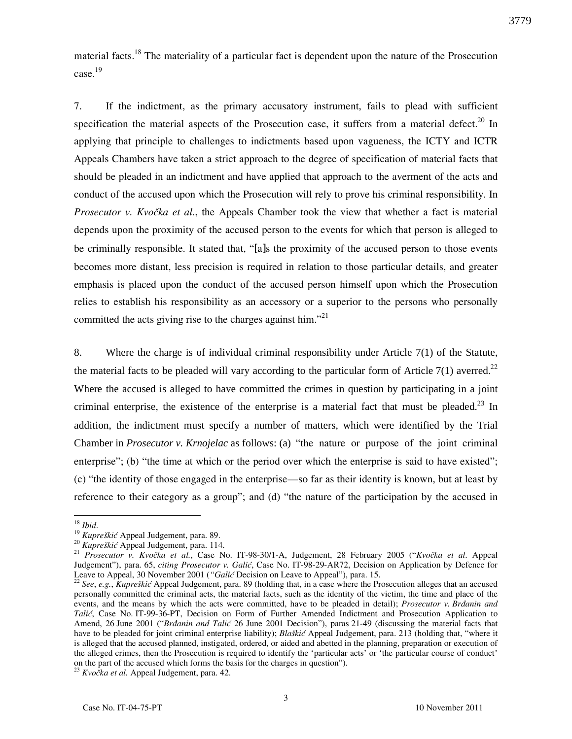material facts.<sup>18</sup> The materiality of a particular fact is dependent upon the nature of the Prosecution case.<sup>19</sup>

7. If the indictment, as the primary accusatory instrument, fails to plead with sufficient specification the material aspects of the Prosecution case, it suffers from a material defect.<sup>20</sup> In applying that principle to challenges to indictments based upon vagueness, the ICTY and ICTR Appeals Chambers have taken a strict approach to the degree of specification of material facts that should be pleaded in an indictment and have applied that approach to the averment of the acts and conduct of the accused upon which the Prosecution will rely to prove his criminal responsibility. In Prosecutor v. Kvočka et al., the Appeals Chamber took the view that whether a fact is material depends upon the proximity of the accused person to the events for which that person is alleged to be criminally responsible. It stated that, "[a]s the proximity of the accused person to those events becomes more distant, less precision is required in relation to those particular details, and greater emphasis is placed upon the conduct of the accused person himself upon which the Prosecution relies to establish his responsibility as an accessory or a superior to the persons who personally committed the acts giving rise to the charges against him."<sup>21</sup>

8. Where the charge is of individual criminal responsibility under Article 7(1) of the Statute, the material facts to be pleaded will vary according to the particular form of Article 7(1) averred.<sup>22</sup> Where the accused is alleged to have committed the crimes in question by participating in a joint criminal enterprise, the existence of the enterprise is a material fact that must be pleaded.<sup>23</sup> In addition, the indictment must specify a number of matters, which were identified by the Trial Chamber in *Prosecutor v. Krnojelac* as follows: (a) "the nature or purpose of the joint criminal enterprise"; (b) "the time at which or the period over which the enterprise is said to have existed"; (c) "the identity of those engaged in the enterprise—so far as their identity is known, but at least by reference to their category as a group"; and (d) "the nature of the participation by the accused in

 $18$  *Ibid.* 

 $19$  Kupreškić Appeal Judgement, para. 89.

 $20$  Kupreškić Appeal Judgement, para. 114.

<sup>&</sup>lt;sup>21</sup> Prosecutor v. Kvočka et al., Case No. IT-98-30/1-A, Judgement, 28 February 2005 ("Kvočka et al. Appeal Judgement"), para. 65, citing Prosecutor v. Galić, Case No. IT-98-29-AR72, Decision on Application by Defence for Leave to Appeal, 30 November 2001 ("Galić Decision on Leave to Appeal"), para. 15.

 $22$  See, e.g., Kupreškić Appeal Judgement, para. 89 (holding that, in a case where the Prosecution alleges that an accused personally committed the criminal acts, the material facts, such as the identity of the victim, the time and place of the events, and the means by which the acts were committed, have to be pleaded in detail); *Prosecutor v. Brdanin and* Talić, Case No. IT-99-36-PT, Decision on Form of Further Amended Indictment and Prosecution Application to Amend, 26 June 2001 ("Brdanin and Talić 26 June 2001 Decision"), paras 21-49 (discussing the material facts that have to be pleaded for joint criminal enterprise liability); Blaškić Appeal Judgement, para. 213 (holding that, "where it is alleged that the accused planned, instigated, ordered, or aided and abetted in the planning, preparation or execution of the alleged crimes, then the Prosecution is required to identify the 'particular acts' or 'the particular course of conduct' on the part of the accused which forms the basis for the charges in question").

 $^{23}$  Kvočka et al. Appeal Judgement, para. 42.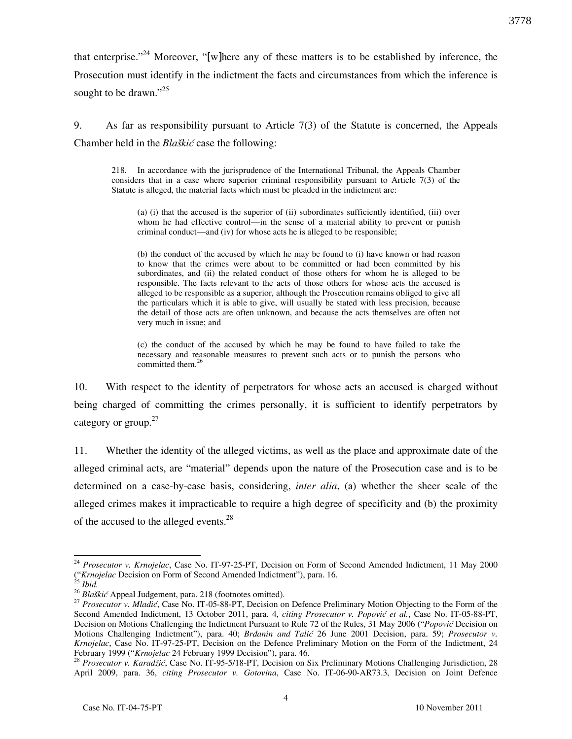that enterprise."<sup>24</sup> Moreover, "[w]here any of these matters is to be established by inference, the Prosecution must identify in the indictment the facts and circumstances from which the inference is sought to be drawn."<sup>25</sup>

9. As far as responsibility pursuant to Article 7(3) of the Statute is concerned, the Appeals Chamber held in the Blaškić case the following:

218. In accordance with the jurisprudence of the International Tribunal, the Appeals Chamber considers that in a case where superior criminal responsibility pursuant to Article 7(3) of the Statute is alleged, the material facts which must be pleaded in the indictment are:

(a) (i) that the accused is the superior of (ii) subordinates sufficiently identified, (iii) over whom he had effective control—in the sense of a material ability to prevent or punish criminal conduct—and (iv) for whose acts he is alleged to be responsible;

(b) the conduct of the accused by which he may be found to (i) have known or had reason to know that the crimes were about to be committed or had been committed by his subordinates, and (ii) the related conduct of those others for whom he is alleged to be responsible. The facts relevant to the acts of those others for whose acts the accused is alleged to be responsible as a superior, although the Prosecution remains obliged to give all the particulars which it is able to give, will usually be stated with less precision, because the detail of those acts are often unknown, and because the acts themselves are often not very much in issue; and

(c) the conduct of the accused by which he may be found to have failed to take the necessary and reasonable measures to prevent such acts or to punish the persons who committed them. $26$ 

10. With respect to the identity of perpetrators for whose acts an accused is charged without being charged of committing the crimes personally, it is sufficient to identify perpetrators by category or group. $27$ 

11. Whether the identity of the alleged victims, as well as the place and approximate date of the alleged criminal acts, are "material" depends upon the nature of the Prosecution case and is to be determined on a case-by-case basis, considering, *inter alia*, (a) whether the sheer scale of the alleged crimes makes it impracticable to require a high degree of specificity and (b) the proximity of the accused to the alleged events.<sup>28</sup>

 $24$  Prosecutor v. Krnojelac, Case No. IT-97-25-PT, Decision on Form of Second Amended Indictment, 11 May 2000 ("Krnojelac Decision on Form of Second Amended Indictment"), para. 16.

 $^{25}$  Ibid.

<sup>26</sup> Blaškić Appeal Judgement, para. 218 (footnotes omitted).

 $27$  Prosecutor v. Mladić, Case No. IT-05-88-PT, Decision on Defence Preliminary Motion Objecting to the Form of the Second Amended Indictment, 13 October 2011, para. 4, citing Prosecutor v. Popović et al., Case No. IT-05-88-PT, Decision on Motions Challenging the Indictment Pursuant to Rule 72 of the Rules, 31 May 2006 ("Popović Decision on Motions Challenging Indictment"), para. 40; Brdanin and Talić 26 June 2001 Decision, para. 59; Prosecutor v. Krnojelac, Case No. IT-97-25-PT, Decision on the Defence Preliminary Motion on the Form of the Indictment, 24 February 1999 ("Krnojelac 24 February 1999 Decision"), para. 46.

<sup>&</sup>lt;sup>28</sup> Prosecutor v. Karadžić, Case No. IT-95-5/18-PT, Decision on Six Preliminary Motions Challenging Jurisdiction, 28 April 2009, para. 36, citing Prosecutor v. Gotovina, Case No. IT-06-90-AR73.3, Decision on Joint Defence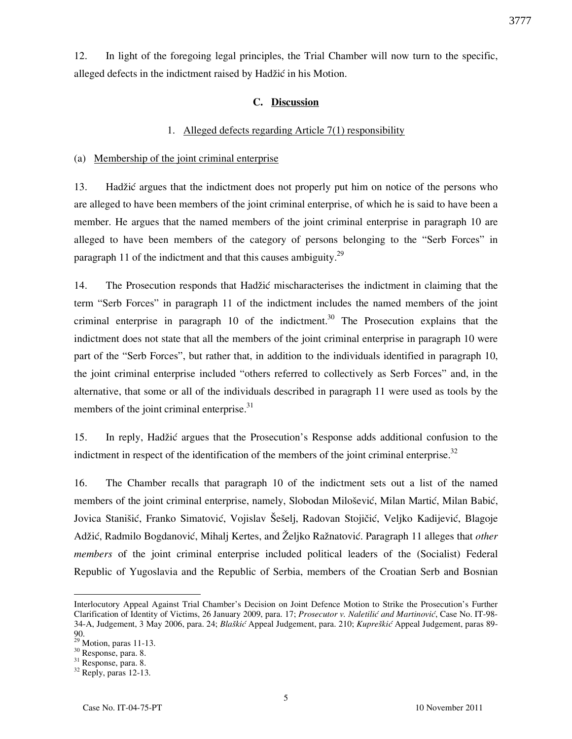12. In light of the foregoing legal principles, the Trial Chamber will now turn to the specific, alleged defects in the indictment raised by Hadžić in his Motion.

# C. Discussion

#### 1. Alleged defects regarding Article 7(1) responsibility

#### (a) Membership of the joint criminal enterprise

13. Hadžić argues that the indictment does not properly put him on notice of the persons who are alleged to have been members of the joint criminal enterprise, of which he is said to have been a member. He argues that the named members of the joint criminal enterprise in paragraph 10 are alleged to have been members of the category of persons belonging to the "Serb Forces" in paragraph 11 of the indictment and that this causes ambiguity.<sup>29</sup>

14. The Prosecution responds that Hadžić mischaracterises the indictment in claiming that the term "Serb Forces" in paragraph 11 of the indictment includes the named members of the joint criminal enterprise in paragraph 10 of the indictment.<sup>30</sup> The Prosecution explains that the indictment does not state that all the members of the joint criminal enterprise in paragraph 10 were part of the "Serb Forces", but rather that, in addition to the individuals identified in paragraph 10, the joint criminal enterprise included "others referred to collectively as Serb Forces" and, in the alternative, that some or all of the individuals described in paragraph 11 were used as tools by the members of the joint criminal enterprise.<sup>31</sup>

15. In reply, Hadžić argues that the Prosecution's Response adds additional confusion to the indictment in respect of the identification of the members of the joint criminal enterprise.<sup>32</sup>

16. The Chamber recalls that paragraph 10 of the indictment sets out a list of the named members of the joint criminal enterprise, namely, Slobodan Milošević, Milan Martić, Milan Babić, Jovica Stanišić, Franko Simatović, Vojislav Šešelj, Radovan Stojičić, Veljko Kadijević, Blagoje Adžić, Radmilo Bogdanović, Mihalj Kertes, and Željko Ražnatović. Paragraph 11 alleges that *other* members of the joint criminal enterprise included political leaders of the (Socialist) Federal Republic of Yugoslavia and the Republic of Serbia, members of the Croatian Serb and Bosnian

Interlocutory Appeal Against Trial Chamber's Decision on Joint Defence Motion to Strike the Prosecution's Further Clarification of Identity of Victims, 26 January 2009, para. 17; Prosecutor v. Naletilić and Martinović, Case No. IT-98-34-A, Judgement, 3 May 2006, para. 24; Blaškić Appeal Judgement, para. 210; Kupreškić Appeal Judgement, paras 89-90.

 $29$  Motion, paras 11-13.

 $30$  Response, para. 8.

<sup>31</sup> Response, para. 8.

<sup>&</sup>lt;sup>32</sup> Reply, paras 12-13.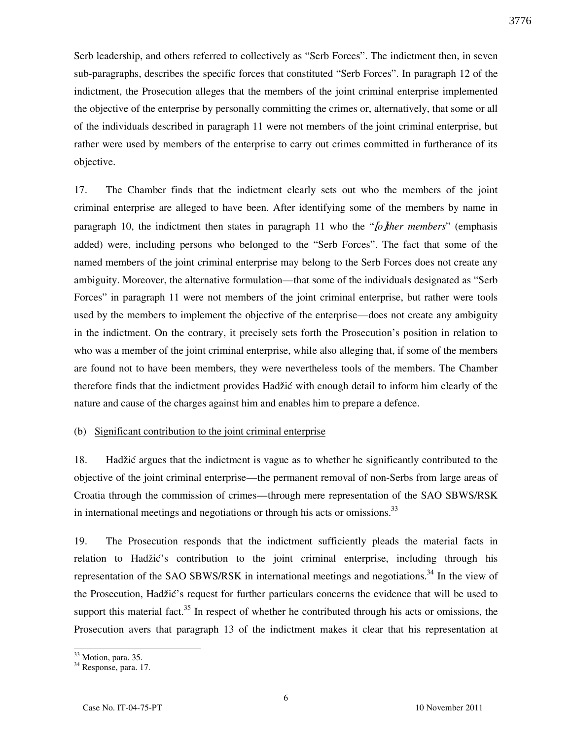Serb leadership, and others referred to collectively as "Serb Forces". The indictment then, in seven sub-paragraphs, describes the specific forces that constituted "Serb Forces". In paragraph 12 of the indictment, the Prosecution alleges that the members of the joint criminal enterprise implemented the objective of the enterprise by personally committing the crimes or, alternatively, that some or all of the individuals described in paragraph 11 were not members of the joint criminal enterprise, but rather were used by members of the enterprise to carry out crimes committed in furtherance of its objective.

17. The Chamber finds that the indictment clearly sets out who the members of the joint criminal enterprise are alleged to have been. After identifying some of the members by name in paragraph 10, the indictment then states in paragraph 11 who the " $[of$ ther members" (emphasis added) were, including persons who belonged to the "Serb Forces". The fact that some of the named members of the joint criminal enterprise may belong to the Serb Forces does not create any ambiguity. Moreover, the alternative formulation—that some of the individuals designated as "Serb Forces" in paragraph 11 were not members of the joint criminal enterprise, but rather were tools used by the members to implement the objective of the enterprise—does not create any ambiguity in the indictment. On the contrary, it precisely sets forth the Prosecution's position in relation to who was a member of the joint criminal enterprise, while also alleging that, if some of the members are found not to have been members, they were nevertheless tools of the members. The Chamber therefore finds that the indictment provides Hadžić with enough detail to inform him clearly of the nature and cause of the charges against him and enables him to prepare a defence.

#### (b) Significant contribution to the joint criminal enterprise

18. Hadžić argues that the indictment is vague as to whether he significantly contributed to the objective of the joint criminal enterprise—the permanent removal of non-Serbs from large areas of Croatia through the commission of crimes—through mere representation of the SAO SBWS/RSK in international meetings and negotiations or through his acts or omissions.<sup>33</sup>

19. The Prosecution responds that the indictment sufficiently pleads the material facts in relation to Hadžić's contribution to the joint criminal enterprise, including through his representation of the SAO SBWS/RSK in international meetings and negotiations.<sup>34</sup> In the view of the Prosecution, Hadžić's request for further particulars concerns the evidence that will be used to support this material fact.<sup>35</sup> In respect of whether he contributed through his acts or omissions, the Prosecution avers that paragraph 13 of the indictment makes it clear that his representation at

<sup>&</sup>lt;sup>33</sup> Motion, para. 35.

<sup>&</sup>lt;sup>34</sup> Response, para. 17.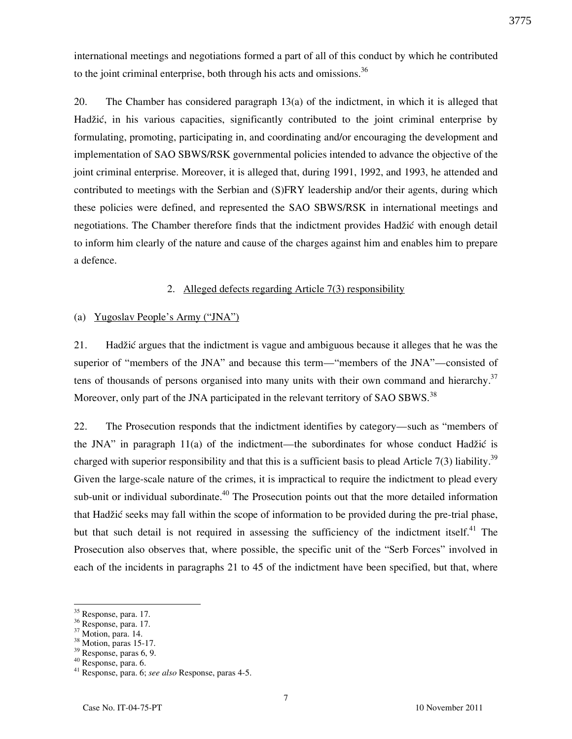international meetings and negotiations formed a part of all of this conduct by which he contributed to the joint criminal enterprise, both through his acts and omissions.<sup>36</sup>

20. The Chamber has considered paragraph 13(a) of the indictment, in which it is alleged that Hadžić, in his various capacities, significantly contributed to the joint criminal enterprise by formulating, promoting, participating in, and coordinating and/or encouraging the development and implementation of SAO SBWS/RSK governmental policies intended to advance the objective of the joint criminal enterprise. Moreover, it is alleged that, during 1991, 1992, and 1993, he attended and contributed to meetings with the Serbian and (S)FRY leadership and/or their agents, during which these policies were defined, and represented the SAO SBWS/RSK in international meetings and negotiations. The Chamber therefore finds that the indictment provides Hadžić with enough detail to inform him clearly of the nature and cause of the charges against him and enables him to prepare a defence.

#### 2. Alleged defects regarding Article 7(3) responsibility

## (a) Yugoslav People's Army ("JNA")

21. Hadžić argues that the indictment is vague and ambiguous because it alleges that he was the superior of "members of the JNA" and because this term—"members of the JNA"—consisted of tens of thousands of persons organised into many units with their own command and hierarchy.<sup>37</sup> Moreover, only part of the JNA participated in the relevant territory of SAO SBWS.<sup>38</sup>

22. The Prosecution responds that the indictment identifies by category—such as "members of the JNA" in paragraph  $11(a)$  of the indictment—the subordinates for whose conduct Hadžić is charged with superior responsibility and that this is a sufficient basis to plead Article 7(3) liability.<sup>39</sup> Given the large-scale nature of the crimes, it is impractical to require the indictment to plead every sub-unit or individual subordinate.<sup>40</sup> The Prosecution points out that the more detailed information that Hadžić seeks may fall within the scope of information to be provided during the pre-trial phase, but that such detail is not required in assessing the sufficiency of the indictment itself.<sup>41</sup> The Prosecution also observes that, where possible, the specific unit of the "Serb Forces" involved in each of the incidents in paragraphs 21 to 45 of the indictment have been specified, but that, where

<sup>&</sup>lt;sup>35</sup> Response, para. 17.

 $36$  Response, para. 17.

<sup>37</sup> Motion, para. 14.

<sup>38</sup> Motion, paras 15-17.

<sup>39</sup> Response, paras 6, 9.

<sup>40</sup> Response, para. 6.

 $41$  Response, para. 6; see also Response, paras 4-5.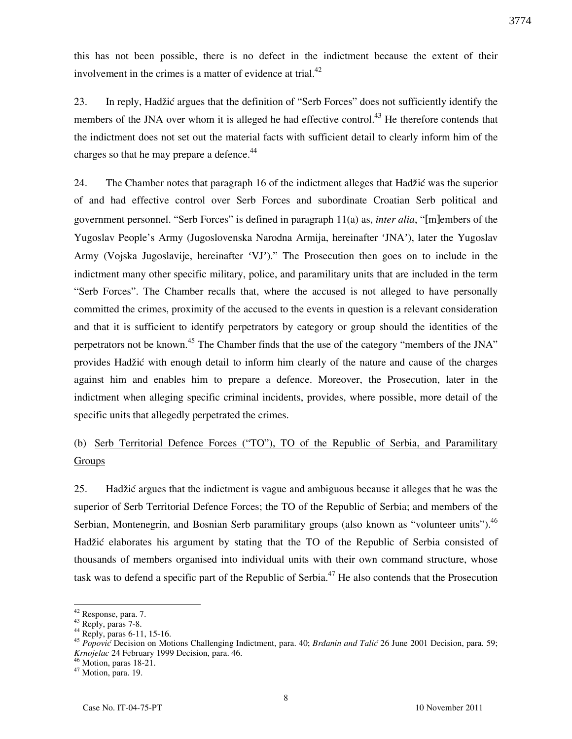this has not been possible, there is no defect in the indictment because the extent of their involvement in the crimes is a matter of evidence at trial. $^{42}$ 

23. In reply, Hadžić argues that the definition of "Serb Forces" does not sufficiently identify the members of the JNA over whom it is alleged he had effective control.<sup>43</sup> He therefore contends that the indictment does not set out the material facts with sufficient detail to clearly inform him of the charges so that he may prepare a defence.<sup>44</sup>

24. The Chamber notes that paragraph 16 of the indictment alleges that Hadžić was the superior of and had effective control over Serb Forces and subordinate Croatian Serb political and government personnel. "Serb Forces" is defined in paragraph 11(a) as, inter alia, "[m]embers of the Yugoslav People's Army (Jugoslovenska Narodna Armija, hereinafter 'JNA'), later the Yugoslav Army (Vojska Jugoslavije, hereinafter 'VJ')." The Prosecution then goes on to include in the indictment many other specific military, police, and paramilitary units that are included in the term "Serb Forces". The Chamber recalls that, where the accused is not alleged to have personally committed the crimes, proximity of the accused to the events in question is a relevant consideration and that it is sufficient to identify perpetrators by category or group should the identities of the perpetrators not be known.<sup>45</sup> The Chamber finds that the use of the category "members of the JNA" provides Hadžić with enough detail to inform him clearly of the nature and cause of the charges against him and enables him to prepare a defence. Moreover, the Prosecution, later in the indictment when alleging specific criminal incidents, provides, where possible, more detail of the specific units that allegedly perpetrated the crimes.

# (b) Serb Territorial Defence Forces ("TO"), TO of the Republic of Serbia, and Paramilitary **Groups**

25. Hadžić argues that the indictment is vague and ambiguous because it alleges that he was the superior of Serb Territorial Defence Forces; the TO of the Republic of Serbia; and members of the Serbian, Montenegrin, and Bosnian Serb paramilitary groups (also known as "volunteer units").<sup>46</sup> Hadžić elaborates his argument by stating that the TO of the Republic of Serbia consisted of thousands of members organised into individual units with their own command structure, whose task was to defend a specific part of the Republic of Serbia.<sup>47</sup> He also contends that the Prosecution

<sup>&</sup>lt;sup>42</sup> Response, para. 7.

 $43$  Reply, paras 7-8.

 $^{44}$  Reply, paras 6-11, 15-16.

<sup>&</sup>lt;sup>45</sup> Popović Decision on Motions Challenging Indictment, para. 40; Brdanin and Talić 26 June 2001 Decision, para. 59; Krnojelac 24 February 1999 Decision, para. 46.

 $46$  Motion, paras 18-21.

<sup>47</sup> Motion, para. 19.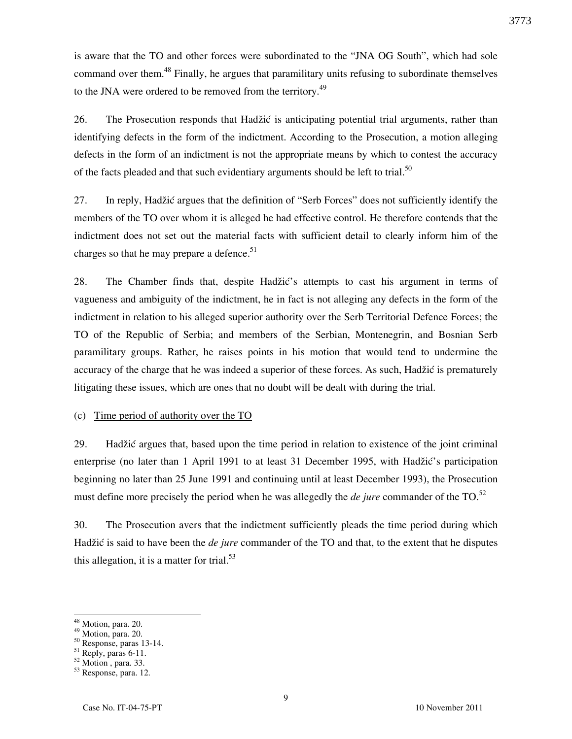is aware that the TO and other forces were subordinated to the "JNA OG South", which had sole command over them.<sup>48</sup> Finally, he argues that paramilitary units refusing to subordinate themselves to the JNA were ordered to be removed from the territory.<sup>49</sup>

26. The Prosecution responds that Hadžić is anticipating potential trial arguments, rather than identifying defects in the form of the indictment. According to the Prosecution, a motion alleging defects in the form of an indictment is not the appropriate means by which to contest the accuracy of the facts pleaded and that such evidentiary arguments should be left to trial.<sup>50</sup>

27. In reply, Hadžić argues that the definition of "Serb Forces" does not sufficiently identify the members of the TO over whom it is alleged he had effective control. He therefore contends that the indictment does not set out the material facts with sufficient detail to clearly inform him of the charges so that he may prepare a defence.<sup>51</sup>

28. The Chamber finds that, despite Hadžić's attempts to cast his argument in terms of vagueness and ambiguity of the indictment, he in fact is not alleging any defects in the form of the indictment in relation to his alleged superior authority over the Serb Territorial Defence Forces; the TO of the Republic of Serbia; and members of the Serbian, Montenegrin, and Bosnian Serb paramilitary groups. Rather, he raises points in his motion that would tend to undermine the accuracy of the charge that he was indeed a superior of these forces. As such, Hadžić is prematurely litigating these issues, which are ones that no doubt will be dealt with during the trial.

#### (c) Time period of authority over the TO

29. Hadžić argues that, based upon the time period in relation to existence of the joint criminal enterprise (no later than 1 April 1991 to at least 31 December 1995, with Hadžić's participation beginning no later than 25 June 1991 and continuing until at least December 1993), the Prosecution must define more precisely the period when he was allegedly the *de jure* commander of the TO.<sup>52</sup>

30. The Prosecution avers that the indictment sufficiently pleads the time period during which Hadžić is said to have been the *de jure* commander of the TO and that, to the extent that he disputes this allegation, it is a matter for trial. $53$ 

<sup>&</sup>lt;sup>48</sup> Motion, para. 20.

 $^{49}$  Motion, para. 20.

<sup>50</sup> Response, paras 13-14.

 $51$  Reply, paras 6-11.

<sup>52</sup> Motion , para. 33.

<sup>53</sup> Response, para. 12.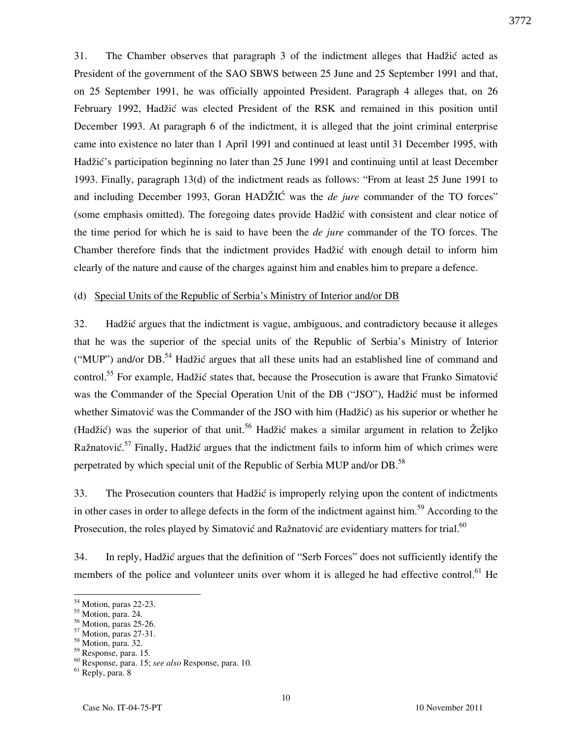31. The Chamber observes that paragraph 3 of the indictment alleges that Hadžić acted as President of the government of the SAO SBWS between 25 June and 25 September 1991 and that, on 25 September 1991, he was officially appointed President. Paragraph 4 alleges that, on 26 February 1992, Hadžić was elected President of the RSK and remained in this position until December 1993. At paragraph 6 of the indictment, it is alleged that the joint criminal enterprise came into existence no later than 1 April 1991 and continued at least until 31 December 1995, with Hadžić's participation beginning no later than 25 June 1991 and continuing until at least December 1993. Finally, paragraph 13(d) of the indictment reads as follows: "From at least 25 June 1991 to and including December 1993, Goran HAD $\angle ZIC$  was the *de jure* commander of the TO forces" (some emphasis omitted). The foregoing dates provide Hadžić with consistent and clear notice of the time period for which he is said to have been the *de jure* commander of the TO forces. The Chamber therefore finds that the indictment provides Hadžić with enough detail to inform him clearly of the nature and cause of the charges against him and enables him to prepare a defence.

#### (d) Special Units of the Republic of Serbia's Ministry of Interior and/or DB

32. Hadžić argues that the indictment is vague, ambiguous, and contradictory because it alleges that he was the superior of the special units of the Republic of Serbia's Ministry of Interior ("MUP") and/or DB.<sup>54</sup> Hadžić argues that all these units had an established line of command and control.<sup>55</sup> For example, Hadžić states that, because the Prosecution is aware that Franko Simatović was the Commander of the Special Operation Unit of the DB ("JSO"), Hadžić must be informed whether Simatović was the Commander of the JSO with him (Hadžić) as his superior or whether he (Hadžić) was the superior of that unit.<sup>56</sup> Hadžić makes a similar argument in relation to Željko Ražnatović.<sup>57</sup> Finally, Hadžić argues that the indictment fails to inform him of which crimes were perpetrated by which special unit of the Republic of Serbia MUP and/or DB.<sup>58</sup>

33. The Prosecution counters that Hadžić is improperly relying upon the content of indictments in other cases in order to allege defects in the form of the indictment against him.<sup>59</sup> According to the Prosecution, the roles played by Simatović and Ražnatović are evidentiary matters for trial.<sup>60</sup>

34. In reply, Hadžić argues that the definition of "Serb Forces" does not sufficiently identify the members of the police and volunteer units over whom it is alleged he had effective control.<sup>61</sup> He

<sup>&</sup>lt;sup>54</sup> Motion, paras 22-23.

<sup>55</sup> Motion, para. 24.

<sup>56</sup> Motion, paras 25-26.

<sup>57</sup> Motion, paras 27-31.

<sup>58</sup> Motion, para. 32.

<sup>59</sup> Response, para. 15.

<sup>60</sup> Response, para. 15; see also Response, para. 10.

<sup>61</sup> Reply, para. 8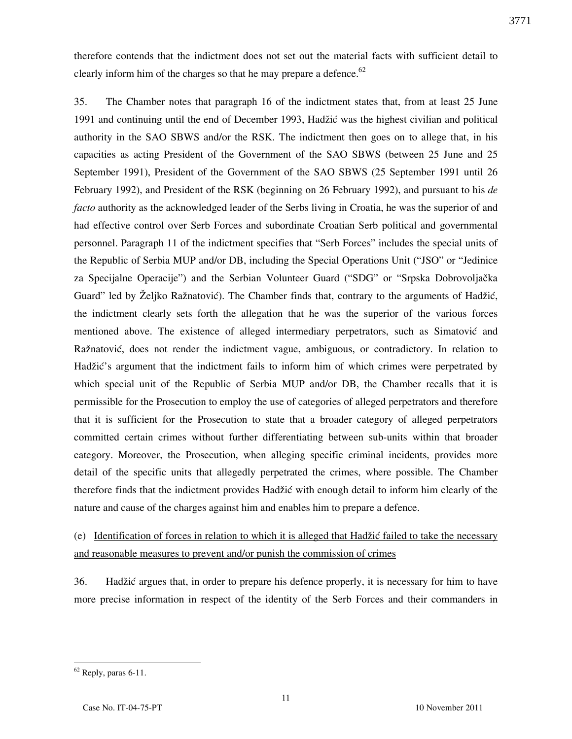therefore contends that the indictment does not set out the material facts with sufficient detail to clearly inform him of the charges so that he may prepare a defence. $62$ 

35. The Chamber notes that paragraph 16 of the indictment states that, from at least 25 June 1991 and continuing until the end of December 1993, Hadžić was the highest civilian and political authority in the SAO SBWS and/or the RSK. The indictment then goes on to allege that, in his capacities as acting President of the Government of the SAO SBWS (between 25 June and 25 September 1991), President of the Government of the SAO SBWS (25 September 1991 until 26 February 1992), and President of the RSK (beginning on 26 February 1992), and pursuant to his de facto authority as the acknowledged leader of the Serbs living in Croatia, he was the superior of and had effective control over Serb Forces and subordinate Croatian Serb political and governmental personnel. Paragraph 11 of the indictment specifies that "Serb Forces" includes the special units of the Republic of Serbia MUP and/or DB, including the Special Operations Unit ("JSO" or "Jedinice za Specijalne Operacije") and the Serbian Volunteer Guard ("SDG" or "Srpska Dobrovoljačka Guard" led by Željko Ražnatović). The Chamber finds that, contrary to the arguments of Hadžić, the indictment clearly sets forth the allegation that he was the superior of the various forces mentioned above. The existence of alleged intermediary perpetrators, such as Simatović and Ražnatović, does not render the indictment vague, ambiguous, or contradictory. In relation to Hadžić's argument that the indictment fails to inform him of which crimes were perpetrated by which special unit of the Republic of Serbia MUP and/or DB, the Chamber recalls that it is permissible for the Prosecution to employ the use of categories of alleged perpetrators and therefore that it is sufficient for the Prosecution to state that a broader category of alleged perpetrators committed certain crimes without further differentiating between sub-units within that broader category. Moreover, the Prosecution, when alleging specific criminal incidents, provides more detail of the specific units that allegedly perpetrated the crimes, where possible. The Chamber therefore finds that the indictment provides Hadžić with enough detail to inform him clearly of the nature and cause of the charges against him and enables him to prepare a defence.

(e) Identification of forces in relation to which it is alleged that Hadžić failed to take the necessary and reasonable measures to prevent and/or punish the commission of crimes

36. Hadžić argues that, in order to prepare his defence properly, it is necessary for him to have more precise information in respect of the identity of the Serb Forces and their commanders in

  $62$  Reply, paras 6-11.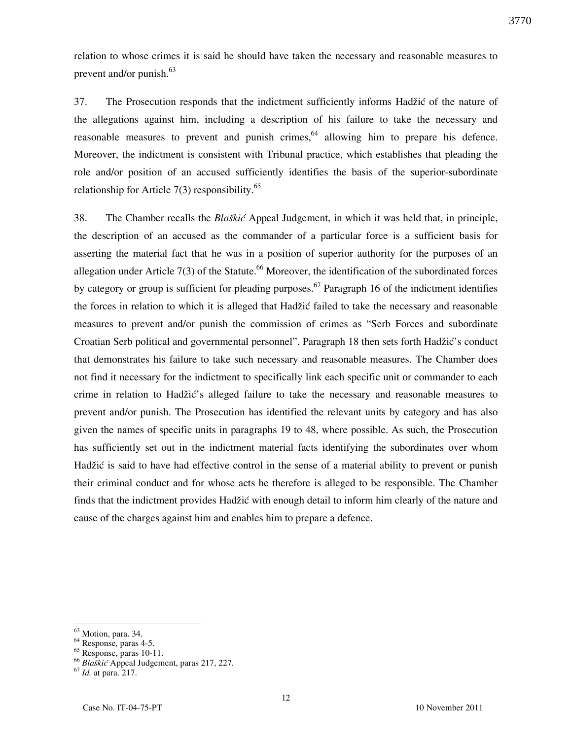relation to whose crimes it is said he should have taken the necessary and reasonable measures to prevent and/or punish. $63$ 

37. The Prosecution responds that the indictment sufficiently informs Hadžić of the nature of the allegations against him, including a description of his failure to take the necessary and reasonable measures to prevent and punish crimes,  $64$  allowing him to prepare his defence. Moreover, the indictment is consistent with Tribunal practice, which establishes that pleading the role and/or position of an accused sufficiently identifies the basis of the superior-subordinate relationship for Article  $7(3)$  responsibility.<sup>65</sup>

38. The Chamber recalls the Blaškić Appeal Judgement, in which it was held that, in principle, the description of an accused as the commander of a particular force is a sufficient basis for asserting the material fact that he was in a position of superior authority for the purposes of an allegation under Article 7(3) of the Statute.<sup>66</sup> Moreover, the identification of the subordinated forces by category or group is sufficient for pleading purposes.<sup>67</sup> Paragraph 16 of the indictment identifies the forces in relation to which it is alleged that Hadžić failed to take the necessary and reasonable measures to prevent and/or punish the commission of crimes as "Serb Forces and subordinate Croatian Serb political and governmental personnel". Paragraph 18 then sets forth Hadžić's conduct that demonstrates his failure to take such necessary and reasonable measures. The Chamber does not find it necessary for the indictment to specifically link each specific unit or commander to each crime in relation to Hadžić's alleged failure to take the necessary and reasonable measures to prevent and/or punish. The Prosecution has identified the relevant units by category and has also given the names of specific units in paragraphs 19 to 48, where possible. As such, the Prosecution has sufficiently set out in the indictment material facts identifying the subordinates over whom Hadžić is said to have had effective control in the sense of a material ability to prevent or punish their criminal conduct and for whose acts he therefore is alleged to be responsible. The Chamber finds that the indictment provides Hadžić with enough detail to inform him clearly of the nature and cause of the charges against him and enables him to prepare a defence.

<sup>&</sup>lt;sup>63</sup> Motion, para. 34.

 $rac{64}{1}$  Response, paras 4-5.

 $65$  Response, paras 10-11.

<sup>&</sup>lt;sup>66</sup> Blaškić Appeal Judgement, paras 217, 227.

 $67$  *Id.* at para. 217.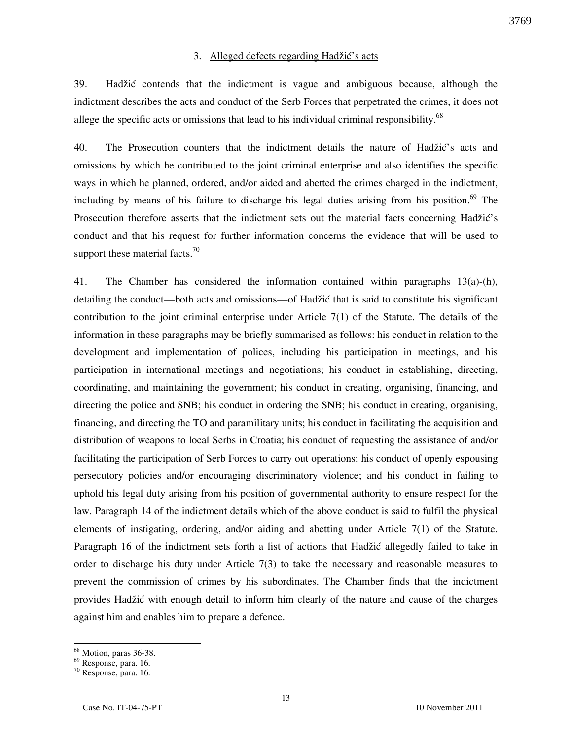## 3. Alleged defects regarding Hadžić's acts

39. Hadžić contends that the indictment is vague and ambiguous because, although the indictment describes the acts and conduct of the Serb Forces that perpetrated the crimes, it does not allege the specific acts or omissions that lead to his individual criminal responsibility.<sup>68</sup>

40. The Prosecution counters that the indictment details the nature of Hadžić's acts and omissions by which he contributed to the joint criminal enterprise and also identifies the specific ways in which he planned, ordered, and/or aided and abetted the crimes charged in the indictment, including by means of his failure to discharge his legal duties arising from his position.<sup>69</sup> The Prosecution therefore asserts that the indictment sets out the material facts concerning Hadžić's conduct and that his request for further information concerns the evidence that will be used to support these material facts. $70$ 

41. The Chamber has considered the information contained within paragraphs 13(a)-(h), detailing the conduct—both acts and omissions—of Hadžić that is said to constitute his significant contribution to the joint criminal enterprise under Article 7(1) of the Statute. The details of the information in these paragraphs may be briefly summarised as follows: his conduct in relation to the development and implementation of polices, including his participation in meetings, and his participation in international meetings and negotiations; his conduct in establishing, directing, coordinating, and maintaining the government; his conduct in creating, organising, financing, and directing the police and SNB; his conduct in ordering the SNB; his conduct in creating, organising, financing, and directing the TO and paramilitary units; his conduct in facilitating the acquisition and distribution of weapons to local Serbs in Croatia; his conduct of requesting the assistance of and/or facilitating the participation of Serb Forces to carry out operations; his conduct of openly espousing persecutory policies and/or encouraging discriminatory violence; and his conduct in failing to uphold his legal duty arising from his position of governmental authority to ensure respect for the law. Paragraph 14 of the indictment details which of the above conduct is said to fulfil the physical elements of instigating, ordering, and/or aiding and abetting under Article 7(1) of the Statute. Paragraph 16 of the indictment sets forth a list of actions that Hadžić allegedly failed to take in order to discharge his duty under Article 7(3) to take the necessary and reasonable measures to prevent the commission of crimes by his subordinates. The Chamber finds that the indictment provides Hadžić with enough detail to inform him clearly of the nature and cause of the charges against him and enables him to prepare a defence.

<sup>68</sup> Motion, paras 36-38.

<sup>69</sup> Response, para. 16.

<sup>70</sup> Response, para. 16.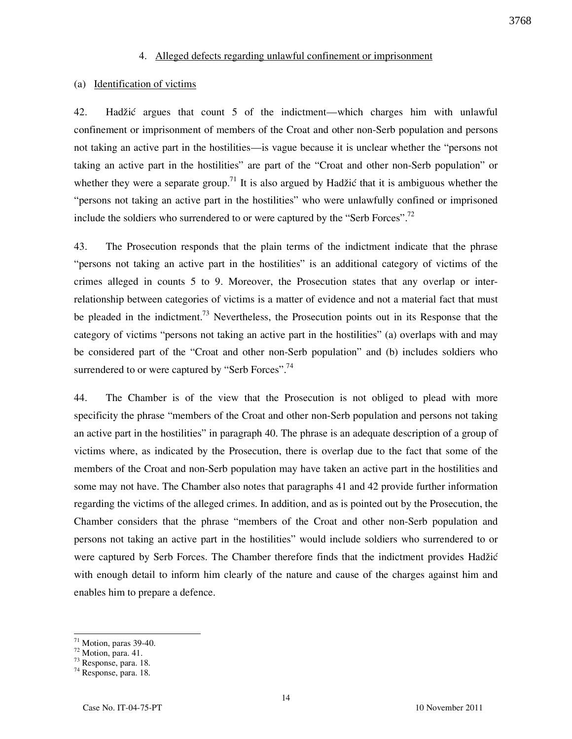## 4. Alleged defects regarding unlawful confinement or imprisonment

#### (a) Identification of victims

42. Hadžić argues that count 5 of the indictment—which charges him with unlawful confinement or imprisonment of members of the Croat and other non-Serb population and persons not taking an active part in the hostilities—is vague because it is unclear whether the "persons not taking an active part in the hostilities" are part of the "Croat and other non-Serb population" or whether they were a separate group.<sup>71</sup> It is also argued by Hadžić that it is ambiguous whether the "persons not taking an active part in the hostilities" who were unlawfully confined or imprisoned include the soldiers who surrendered to or were captured by the "Serb Forces".<sup>72</sup>

43. The Prosecution responds that the plain terms of the indictment indicate that the phrase "persons not taking an active part in the hostilities" is an additional category of victims of the crimes alleged in counts 5 to 9. Moreover, the Prosecution states that any overlap or interrelationship between categories of victims is a matter of evidence and not a material fact that must be pleaded in the indictment.<sup>73</sup> Nevertheless, the Prosecution points out in its Response that the category of victims "persons not taking an active part in the hostilities" (a) overlaps with and may be considered part of the "Croat and other non-Serb population" and (b) includes soldiers who surrendered to or were captured by "Serb Forces".<sup>74</sup>

44. The Chamber is of the view that the Prosecution is not obliged to plead with more specificity the phrase "members of the Croat and other non-Serb population and persons not taking an active part in the hostilities" in paragraph 40. The phrase is an adequate description of a group of victims where, as indicated by the Prosecution, there is overlap due to the fact that some of the members of the Croat and non-Serb population may have taken an active part in the hostilities and some may not have. The Chamber also notes that paragraphs 41 and 42 provide further information regarding the victims of the alleged crimes. In addition, and as is pointed out by the Prosecution, the Chamber considers that the phrase "members of the Croat and other non-Serb population and persons not taking an active part in the hostilities" would include soldiers who surrendered to or were captured by Serb Forces. The Chamber therefore finds that the indictment provides Hadžić with enough detail to inform him clearly of the nature and cause of the charges against him and enables him to prepare a defence.

 $71$  Motion, paras 39-40.

 $72$  Motion, para. 41.

<sup>73</sup> Response, para. 18.

<sup>74</sup> Response, para. 18.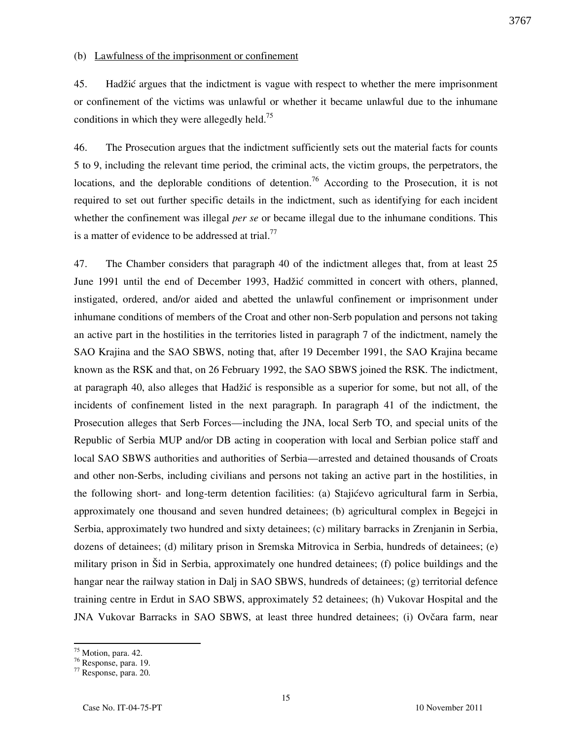# (b) Lawfulness of the imprisonment or confinement

45. Hadžić argues that the indictment is vague with respect to whether the mere imprisonment or confinement of the victims was unlawful or whether it became unlawful due to the inhumane conditions in which they were allegedly held.<sup>75</sup>

46. The Prosecution argues that the indictment sufficiently sets out the material facts for counts 5 to 9, including the relevant time period, the criminal acts, the victim groups, the perpetrators, the locations, and the deplorable conditions of detention.<sup>76</sup> According to the Prosecution, it is not required to set out further specific details in the indictment, such as identifying for each incident whether the confinement was illegal *per se* or became illegal due to the inhumane conditions. This is a matter of evidence to be addressed at trial.<sup>77</sup>

47. The Chamber considers that paragraph 40 of the indictment alleges that, from at least 25 June 1991 until the end of December 1993, Hadžić committed in concert with others, planned, instigated, ordered, and/or aided and abetted the unlawful confinement or imprisonment under inhumane conditions of members of the Croat and other non-Serb population and persons not taking an active part in the hostilities in the territories listed in paragraph 7 of the indictment, namely the SAO Krajina and the SAO SBWS, noting that, after 19 December 1991, the SAO Krajina became known as the RSK and that, on 26 February 1992, the SAO SBWS joined the RSK. The indictment, at paragraph 40, also alleges that Hadžić is responsible as a superior for some, but not all, of the incidents of confinement listed in the next paragraph. In paragraph 41 of the indictment, the Prosecution alleges that Serb Forces—including the JNA, local Serb TO, and special units of the Republic of Serbia MUP and/or DB acting in cooperation with local and Serbian police staff and local SAO SBWS authorities and authorities of Serbia—arrested and detained thousands of Croats and other non-Serbs, including civilians and persons not taking an active part in the hostilities, in the following short- and long-term detention facilities: (a) Stajićevo agricultural farm in Serbia, approximately one thousand and seven hundred detainees; (b) agricultural complex in Begejci in Serbia, approximately two hundred and sixty detainees; (c) military barracks in Zrenjanin in Serbia, dozens of detainees; (d) military prison in Sremska Mitrovica in Serbia, hundreds of detainees; (e) military prison in Šid in Serbia, approximately one hundred detainees; (f) police buildings and the hangar near the railway station in Dalj in SAO SBWS, hundreds of detainees; (g) territorial defence training centre in Erdut in SAO SBWS, approximately 52 detainees; (h) Vukovar Hospital and the JNA Vukovar Barracks in SAO SBWS, at least three hundred detainees; (i) Ovčara farm, near

<sup>&</sup>lt;sup>75</sup> Motion, para. 42.

 $\frac{76}{5}$  Response, para. 19.

<sup>77</sup> Response, para. 20.